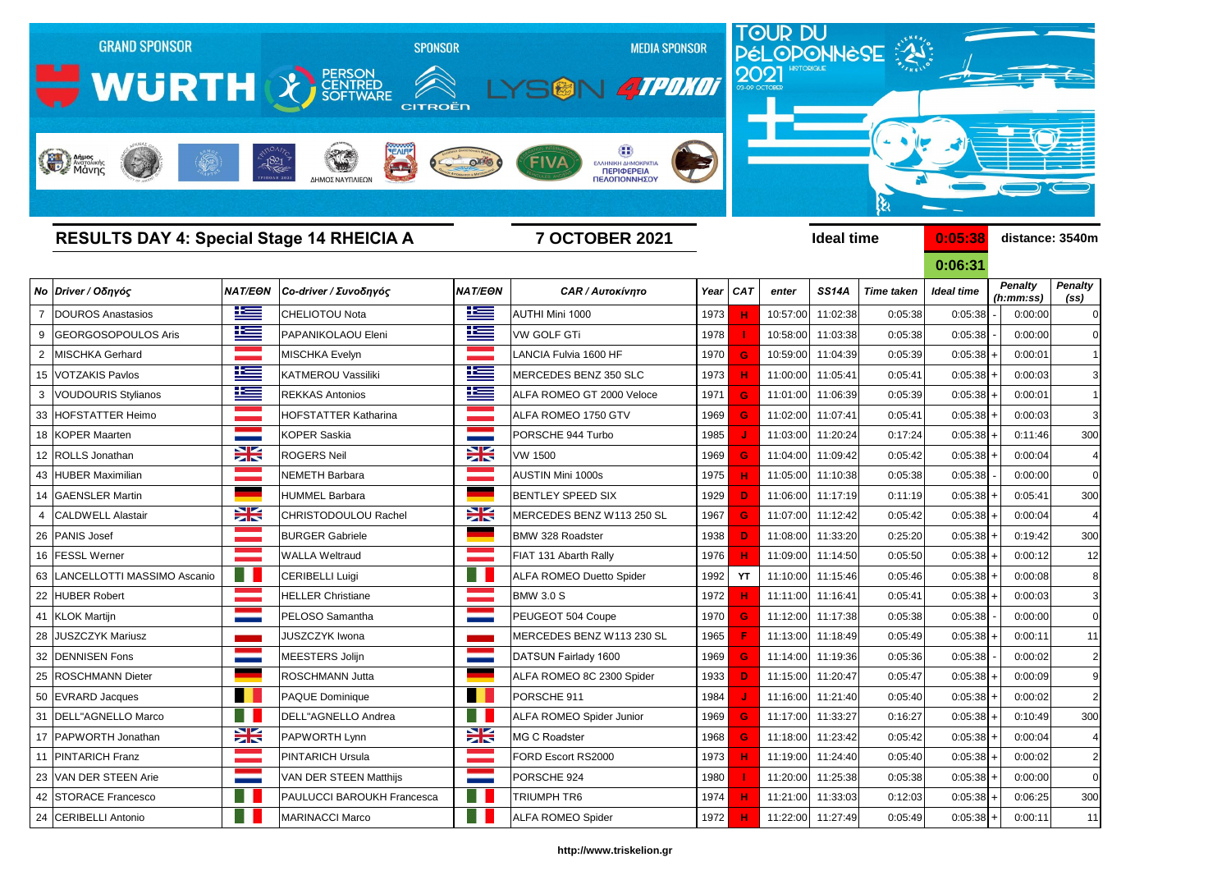

|    | <b>RESULTS DAY 4: Special Stage 14 RHEICIA A</b> |                       |                               | <b>7 OCTOBER 2021</b> |                                 |      |           |          | <b>Ideal time</b> |                   | 0:05:38           | distance: 3540m             |                                     |
|----|--------------------------------------------------|-----------------------|-------------------------------|-----------------------|---------------------------------|------|-----------|----------|-------------------|-------------------|-------------------|-----------------------------|-------------------------------------|
|    |                                                  |                       |                               |                       |                                 |      |           |          |                   |                   | 0:06:31           |                             |                                     |
|    | Νο Driver / Οδηγός                               |                       | ΝΑΤ/ΕΘΝ Co-driver / Συνοδηγός | <b>NAT/EON</b>        | <b>CAR / Αυτοκίνητο</b>         |      | Year CAT  | enter    | <b>SS14A</b>      | <b>Time taken</b> | <b>Ideal time</b> | <b>Penalty</b><br>(h:mm:ss) | <b>Penalty</b><br>(s <sub>s</sub> ) |
|    | DOUROS Anastasios                                | <u>ik s</u>           | <b>CHELIOTOU Nota</b>         | 坚                     | <b>AUTHI Mini 1000</b>          | 1973 |           | 10:57:00 | 11:02:38          | 0:05:38           | 0:05:38           | 0:00:00                     | 0                                   |
|    | GEORGOSOPOULOS Aris                              | <u>ik s</u>           | PAPANIKOLAOU Eleni            | <u>ik se</u>          | <b>VW GOLF GTi</b>              | 1978 |           | 10:58:00 | 11:03:38          | 0:05:38           | 0:05:38           | 0:00:00                     |                                     |
|    | <b>MISCHKA Gerhard</b>                           |                       | MISCHKA Evelyn                | a a shekara           | LANCIA Fulvia 1600 HF           | 1970 | G         |          | 10:59:00 11:04:39 | 0:05:39           | $0:05:38$ +       | 0:00:01                     |                                     |
|    | 15   VOTZAKIS Pavlos                             | $\mathbf{r}$          | KATMEROU Vassiliki            | $\equiv$              | MERCEDES BENZ 350 SLC           | 1973 |           |          | 11:00:00 11:05:41 | 0:05:41           | $0:05:38$ +       | 0:00:03                     | 3                                   |
|    | <b>VOUDOURIS Stylianos</b>                       | 坚                     | <b>REKKAS Antonios</b>        | 坚                     | ALFA ROMEO GT 2000 Veloce       | 1971 | G.        |          | 11:01:00 11:06:39 | 0:05:39           | $0:05:38$ +       | 0:00:01                     |                                     |
| 33 | <b>HOFSTATTER Heimo</b>                          |                       | <b>HOFSTATTER Katharina</b>   | an<br>Martin          | ALFA ROMEO 1750 GTV             | 1969 | G         |          | 11:02:00 11:07:41 | 0:05:41           | $0:05:38$ +       | 0:00:03                     | 3                                   |
|    | 18 KOPER Maarten                                 |                       | <b>KOPER Saskia</b>           | <b>Contract</b>       | PORSCHE 944 Turbo               | 1985 |           |          | 11:03:00 11:20:24 | 0:17:24           | $0:05:38$ +       | 0:11:46                     | 300                                 |
|    | 12 ROLLS Jonathan                                | $\frac{1}{\sqrt{2}}$  | <b>ROGERS Neil</b>            | $\frac{1}{2}$         | <b>VW 1500</b>                  | 1969 | G         |          | 11:04:00 11:09:42 | 0:05:42           | $0:05:38$ +       | 0:00:04                     |                                     |
|    | 43 HUBER Maximilian                              |                       | <b>NEMETH Barbara</b>         |                       | <b>AUSTIN Mini 1000s</b>        | 1975 |           |          | 11:05:00 11:10:38 | 0:05:38           | 0:05:38           | 0:00:00                     | 0                                   |
|    | 14 GAENSLER Martin                               |                       | <b>HUMMEL Barbara</b>         |                       | <b>BENTLEY SPEED SIX</b>        | 1929 | D         |          | 11:06:00 11:17:19 | 0:11:19           | $0:05:38$ +       | 0:05:41                     | 300                                 |
|    | <b>CALDWELL Alastair</b>                         | $\frac{1}{\sqrt{2}}$  | CHRISTODOULOU Rachel          | $\frac{1}{2}$         | MERCEDES BENZ W113 250 SL       | 1967 | G         |          | 11:07:00 11:12:42 | 0:05:42           | $0:05:38$ +       | 0:00:04                     |                                     |
|    | 26 PANIS Josef                                   |                       | <b>BURGER Gabriele</b>        |                       | <b>BMW 328 Roadster</b>         | 1938 | D.        |          | 11:08:00 11:33:20 | 0:25:20           | $0:05:38$ +       | 0:19:42                     | 300                                 |
|    | 16 FESSL Werner                                  |                       | <b>WALLA Weltraud</b>         |                       | FIAT 131 Abarth Rally           | 1976 |           |          | 11:09:00 11:14:50 | 0:05:50           | $0:05:38$ +       | 0:00:12                     | 12                                  |
|    | 63   LANCELLOTTI MASSIMO Ascanio                 | m                     | CERIBELLI Luigi               | H                     | <b>ALFA ROMEO Duetto Spider</b> | 1992 | <b>YT</b> |          | 11:10:00 11:15:46 | 0:05:46           | $0:05:38$ +       | 0:00:08                     | 8                                   |
|    | <b>HUBER Robert</b>                              |                       | <b>HELLER Christiane</b>      | an sa Bara            | <b>BMW 3.0 S</b>                | 1972 |           |          | 11:11:00 11:16:41 | 0:05:41           | $0:05:38$ +       | 0:00:03                     | 3                                   |
|    | 41 KLOK Martijn                                  |                       | PELOSO Samantha               | --                    | PEUGEOT 504 Coupe               | 1970 | G         |          | 11:12:00 11:17:38 | 0:05:38           | 0:05:38           | 0:00:00                     |                                     |
|    | 28 JUSZCZYK Mariusz                              |                       | <b>JUSZCZYK Iwona</b>         | a sa Ta               | MERCEDES BENZ W113 230 SL       | 1965 |           |          | 11:13:00 11:18:49 | 0:05:49           | $0:05:38$ +       | 0:00:11                     | 11                                  |
|    | 32 DENNISEN Fons                                 |                       | MEESTERS Jolijn               | <b>Contract</b>       | DATSUN Fairlady 1600            | 1969 | G         |          | 11:14:00 11:19:36 | 0:05:36           | 0:05:38           | 0:00:02                     | 2                                   |
|    | 25 ROSCHMANN Dieter                              |                       | ROSCHMANN Jutta               |                       | ALFA ROMEO 8C 2300 Spider       | 1933 | D.        |          | 11:15:00 11:20:47 | 0:05:47           | $0:05:38$ +       | 0:00:09                     |                                     |
|    | 50 EVRARD Jacques                                | a sa Bara             | PAQUE Dominique               | a sa sa<br>. .        | PORSCHE 911                     | 1984 | J.        |          | 11:16:00 11:21:40 | 0:05:40           | $0:05:38$ +       | 0:00:02                     | 2                                   |
|    | 31   DELL"AGNELLO Marco                          | a l                   | DELL"AGNELLO Andrea           | n N                   | ALFA ROMEO Spider Junior        | 1969 | G         |          | 11:17:00 11:33:27 | 0:16:27           | $0:05:38$ +       | 0:10:49                     | 300                                 |
|    | 17 PAPWORTH Jonathan                             | X                     | PAPWORTH Lynn                 | X                     | MG C Roadster                   | 1968 | G         |          | 11:18:00 11:23:42 | 0:05:42           | $0:05:38$ +       | 0:00:04                     | $\overline{4}$                      |
| 11 | <b>PINTARICH Franz</b>                           | <u> Tan</u>           | <b>PINTARICH Ursula</b>       | a a shekarar t        | FORD Escort RS2000              | 1973 | н         |          | 11:19:00 11:24:40 | 0:05:40           | $0:05:38$ +       | 0:00:02                     | $\overline{2}$                      |
|    | 23 VAN DER STEEN Arie                            |                       | VAN DER STEEN Matthijs        | <b>Contract</b>       | PORSCHE 924                     | 1980 |           |          | 11:20:00 11:25:38 | 0:05:38           | $0:05:38$ +       | 0:00:00                     | $\mathbf 0$                         |
|    | 42 STORACE Francesco                             | Ħ                     | PAULUCCI BAROUKH Francesca    | . .                   | TRIUMPH TR6                     | 1974 | н         |          | 11:21:00 11:33:03 | 0:12:03           | $0:05:38$ +       | 0:06:25                     | 300                                 |
|    | 24 CERIBELLI Antonio                             | <b>For the Second</b> | <b>MARINACCI Marco</b>        | <b>Karl II</b>        | <b>ALFA ROMEO Spider</b>        | 1972 | н         |          | 11:22:00 11:27:49 | 0:05:49           | $0:05:38$ +       | 0:00:11                     | -11                                 |

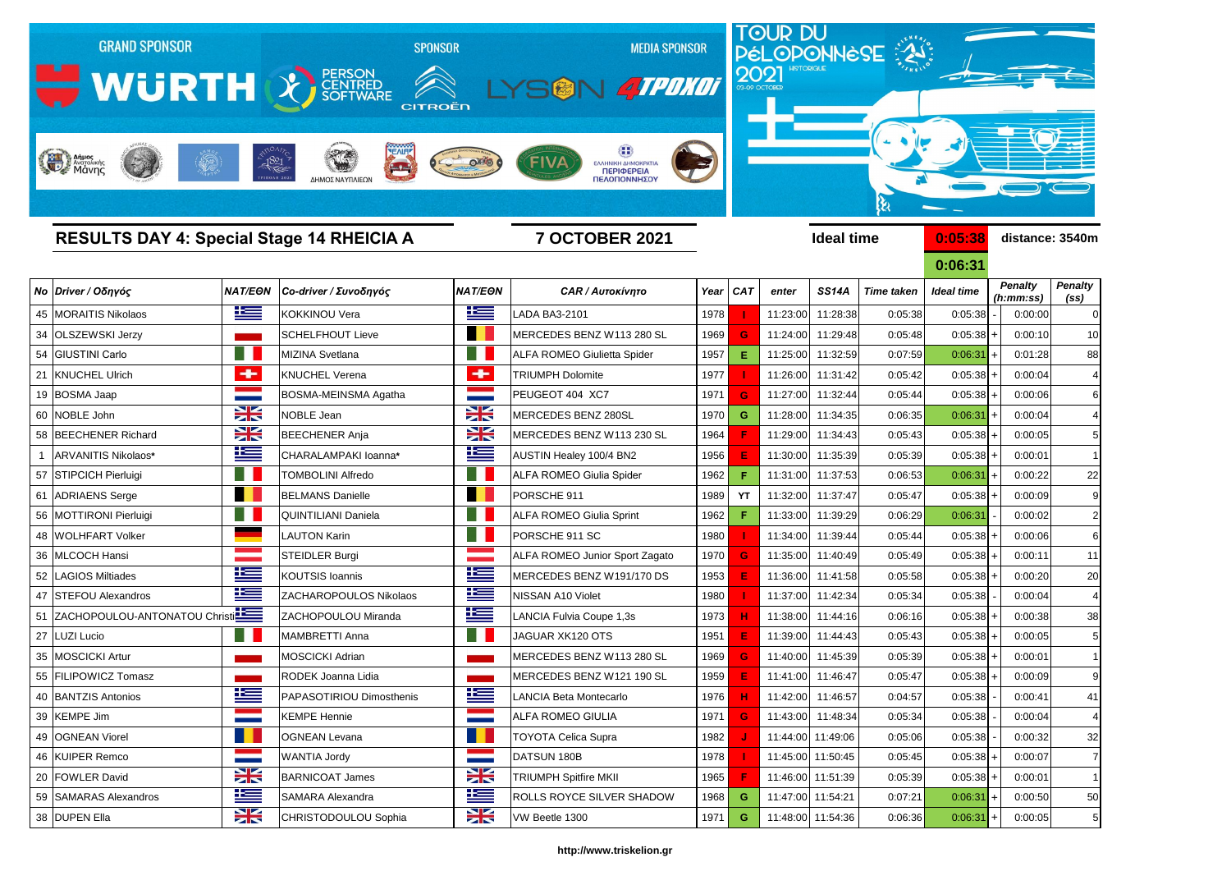

| <b>RESULTS DAY 4: Special Stage 14 RHEICIA A</b> |                       |                            | <b>7 OCTOBER 2021</b>  |                                       |      |          |          | <b>Ideal time</b> |                   | 0:05:38    | distance: 3540m             |                                     |  |
|--------------------------------------------------|-----------------------|----------------------------|------------------------|---------------------------------------|------|----------|----------|-------------------|-------------------|------------|-----------------------------|-------------------------------------|--|
|                                                  |                       |                            |                        |                                       |      |          |          |                   |                   | 0:06:31    |                             |                                     |  |
| Νο Driver / Οδηγός                               | <b>NAT/EON</b>        | Co-driver / Συνοδηγός      | <b>NAT/EON</b>         | <b>CAR / Αυτοκίνητο</b>               |      | Year CAT | enter    | <b>SS14A</b>      | <b>Time taken</b> | Ideal time | <b>Penalty</b><br>(h:mm:ss) | <b>Penalty</b><br>(s <sub>s</sub> ) |  |
| 45   MORAITIS Nikolaos                           | <u>is </u>            | <b>KOKKINOU Vera</b>       | <u>ik a</u>            | <b>LADA BA3-2101</b>                  | 1978 |          | 11:23:00 | 11:28:38          | 0:05:38           | 0:05:38    | 0:00:00                     | 0                                   |  |
| 34 OLSZEWSKI Jerzy                               |                       | <b>SCHELFHOUT Lieve</b>    | H.                     | MERCEDES BENZ W113 280 SL             | 1969 | G        | 11:24:00 | 11:29:48          | 0:05:48           | 0:05:38    | 0:00:10                     | 10                                  |  |
| 54 GIUSTINI Carlo                                | Ħ                     | MIZINA Svetlana            |                        | <b>ALFA ROMEO Giulietta Spider</b>    | 1957 | Е        | 11:25:00 | 11:32:59          | 0:07:59           | 0:06:31    | 0:01:28                     | 88                                  |  |
| <b>KNUCHEL Ulrich</b>                            | ÷                     | <b>KNUCHEL Verena</b>      | ÷                      | <b>TRIUMPH Dolomite</b>               | 1977 |          | 11:26:00 | 11:31:42          | 0:05:42           | 0:05:38    | 0:00:04                     | 4                                   |  |
| 19 BOSMA Jaap                                    |                       | BOSMA-MEINSMA Agatha       |                        | PEUGEOT 404 XC7                       | 1971 | G        | 11:27:00 | 11:32:44          | 0:05:44           | 0:05:38    | 0:00:06                     | 6                                   |  |
| 60 NOBLE John                                    | $\frac{1}{2}$         | <b>NOBLE Jean</b>          | X                      | MERCEDES BENZ 280SL                   | 1970 | G.       | 11:28:00 | 11:34:35          | 0:06:35           | 0:06:31    | 0:00:04                     | 4                                   |  |
| 58 BEECHENER Richard                             | $\frac{1}{2}$         | <b>BEECHENER Anja</b>      | $\frac{1}{2}$          | MERCEDES BENZ W113 230 SL             | 1964 |          | 11:29:00 | 11:34:43          | 0:05:43           | 0:05:38    | 0:00:05                     | 5                                   |  |
| ARVANITIS Nikolaos*                              | <u>iks </u>           | CHARALAMPAKI Ioanna*       | 些                      | AUSTIN Healey 100/4 BN2               | 1956 |          | 11:30:00 | 11:35:39          | 0:05:39           | 0:05:38    | 0:00:01                     |                                     |  |
| 57 STIPCICH Pierluigi                            |                       | <b>TOMBOLINI Alfredo</b>   |                        | <b>ALFA ROMEO Giulia Spider</b>       | 1962 |          | 11:31:00 | 11:37:53          | 0:06:53           | 0:06:31    | 0:00:22                     | 22                                  |  |
| 61 ADRIAENS Serge                                | n.                    | <b>BELMANS Danielle</b>    | H E                    | PORSCHE 911                           | 1989 | YT       | 11:32:00 | 11:37:47          | 0:05:47           | 0:05:38    | 0:00:09                     | 9                                   |  |
| 56 MOTTIRONI Pierluigi                           |                       | <b>QUINTILIANI Daniela</b> |                        | <b>ALFA ROMEO Giulia Sprint</b>       | 1962 |          | 11:33:00 | 11:39:29          | 0:06:29           | 0:06:31    | 0:00:02                     |                                     |  |
| 48   WOLHFART Volker                             |                       | LAUTON Karin               | a de la                | PORSCHE 911 SC                        | 1980 |          | 11:34:00 | 11:39:44          | 0:05:44           | 0:05:38    | 0:00:06                     | 6                                   |  |
| 36 MLCOCH Hansi                                  |                       | <b>STEIDLER Burgi</b>      |                        | <b>ALFA ROMEO Junior Sport Zagato</b> | 1970 | G        | 11:35:00 | 11:40:49          | 0:05:49           | 0:05:38    | 0:00:11                     | 11                                  |  |
| 52 LAGIOS Miltiades                              | <u>iks </u>           | <b>KOUTSIS Ioannis</b>     | 些                      | MERCEDES BENZ W191/170 DS             | 1953 |          | 11:36:00 | 11:41:58          | 0:05:58           | 0:05:38    | 0:00:20                     | 20                                  |  |
| 47 STEFOU Alexandros                             | <u>ik –</u>           | ZACHAROPOULOS Nikolaos     | 些                      | NISSAN A10 Violet                     | 1980 |          | 11:37:00 | 11:42:34          | 0:05:34           | 0:05:38    | 0:00:04                     | 4                                   |  |
| 51 ZACHOPOULOU-ANTONATOU Christi                 |                       | ZACHOPOULOU Miranda        | <u>ts </u>             | LANCIA Fulvia Coupe 1,3s              | 1973 |          | 11:38:00 | 11:44:16          | 0:06:16           | 0:05:38    | 0:00:38                     | 38                                  |  |
| 27   LUZI Lucio                                  |                       | <b>MAMBRETTI Anna</b>      |                        | JAGUAR XK120 OTS                      | 1951 |          | 11:39:00 | 11:44:43          | 0:05:43           | 0:05:38    | 0:00:05                     | 5                                   |  |
| 35   MOSCICKI Artur                              |                       | <b>MOSCICKI Adrian</b>     |                        | MERCEDES BENZ W113 280 SL             | 1969 | G        | 11:40:00 | 11:45:39          | 0:05:39           | 0:05:38    | 0:00:01                     | $\mathbf 1$                         |  |
| 55 FILIPOWICZ Tomasz                             |                       | RODEK Joanna Lidia         |                        | MERCEDES BENZ W121 190 SL             | 1959 |          | 11:41:00 | 11:46:47          | 0:05:47           | 0:05:38    | 0:00:09                     | 9                                   |  |
| 40 BANTZIS Antonios                              | Ŧ<br><u>expertise</u> | PAPASOTIRIOU Dimosthenis   | Ñ<br>$\equiv$ $\equiv$ | LANCIA Beta Montecarlo                | 1976 | н.       |          | 11:42:00 11:46:57 | 0:04:57           | 0:05:38    | 0:00:41                     | 41                                  |  |
| 39 KEMPE Jim                                     | <b>STATE</b>          | <b>KEMPE Hennie</b>        | <b>Contractor</b>      | <b>ALFA ROMEO GIULIA</b>              | 1971 | G        |          | 11:43:00 11:48:34 | 0:05:34           | 0:05:38    | 0:00:04                     | 4                                   |  |
| 49 OGNEAN Viorel                                 | . .                   | <b>OGNEAN Levana</b>       |                        | <b>TOYOTA Celica Supra</b>            | 1982 |          |          | 11:44:00 11:49:06 | 0:05:06           | 0:05:38    | 0:00:32                     | 32                                  |  |
| 46 KUIPER Remco                                  |                       | <b>WANTIA Jordy</b>        | <b>Contractor</b>      | DATSUN 180B                           | 1978 |          |          | 11:45:00 11:50:45 | 0:05:45           | 0:05:38    | 0:00:07<br>$\ddot{}$        | $\overline{7}$                      |  |
| 20 FOWLER David                                  | $\frac{1}{2}$         | <b>BARNICOAT James</b>     | X                      | <b>TRIUMPH Spitfire MKII</b>          | 1965 |          |          | 11:46:00 11:51:39 | 0:05:39           | 0:05:38    | 0:00:01<br>$\ddot{}$        | -1                                  |  |
| 59 SAMARAS Alexandros                            | 华兰                    | SAMARA Alexandra           | <u>ik s</u>            | <b>ROLLS ROYCE SILVER SHADOW</b>      | 1968 | G        |          | 11:47:00 11:54:21 | 0:07:21           | 0:06:31    | $\ddot{}$<br>0:00:50        | 50                                  |  |
| 38 DUPEN Ella                                    | X                     | CHRISTODOULOU Sophia       | X                      | VW Beetle 1300                        | 1971 | G        |          | 11:48:00 11:54:36 | 0:06:36           | 0:06:31    | $+$<br>0:00:05              | 5                                   |  |
|                                                  |                       |                            |                        |                                       |      |          |          |                   |                   |            |                             |                                     |  |

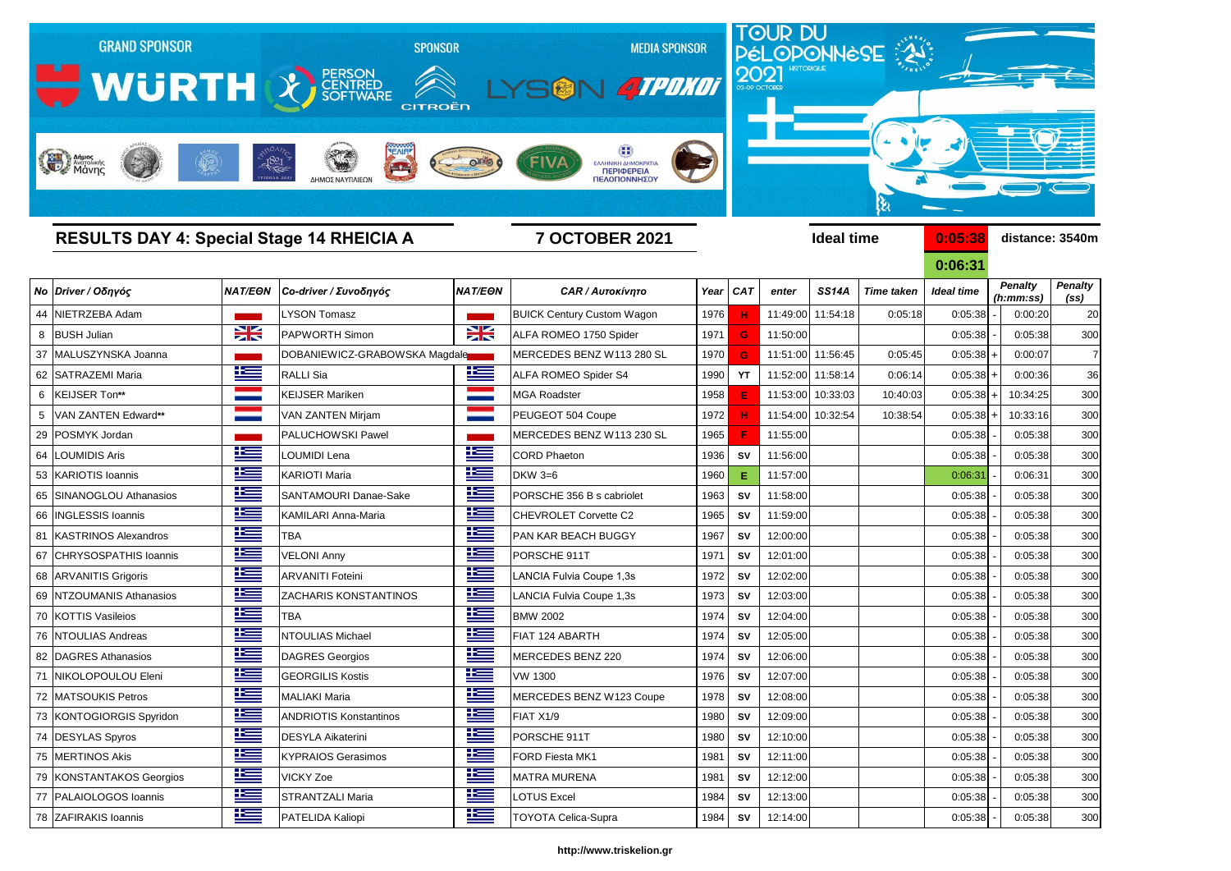

|    | <b>RESULTS DAY 4: Special Stage 14 RHEICIA A</b> |             |                                 | <b>7 OCTOBER 2021</b> |                                   |      |           |          | <b>Ideal time</b> |                   | 0:05:38           | distance: 3540m             |                        |
|----|--------------------------------------------------|-------------|---------------------------------|-----------------------|-----------------------------------|------|-----------|----------|-------------------|-------------------|-------------------|-----------------------------|------------------------|
|    |                                                  |             |                                 |                       |                                   |      |           |          |                   |                   | 0:06:31           |                             |                        |
|    | Νο Driver / Οδηγός                               |             | NAT/EΘN   Co-driver / Συνοδηγός | <b>NAT/EON</b>        | <b>CAR / Αυτοκίνητο</b>           |      | Year CAT  | enter    | <b>SS14A</b>      | <b>Time taken</b> | <b>Ideal time</b> | <b>Penalty</b><br>(h:mm:ss) | <b>Penalty</b><br>(SS) |
|    | 44 NIETRZEBA Adam                                |             | <b>LYSON Tomasz</b>             |                       | <b>BUICK Century Custom Wagon</b> | 1976 |           |          | 11:49:00 11:54:18 | 0:05:18           | 0:05:38           | 0:00:20                     | 20                     |
| 8  | <b>BUSH Julian</b>                               | X           | <b>PAPWORTH Simon</b>           | XK                    | ALFA ROMEO 1750 Spider            | 1971 | G         | 11:50:00 |                   |                   | 0:05:38           | 0:05:38                     | 300                    |
|    | 37 MALUSZYNSKA Joanna                            |             | DOBANIEWICZ-GRABOWSKA Magdale   |                       | MERCEDES BENZ W113 280 SL         | 1970 | G         |          | 11:51:00 11:56:45 | 0:05:45           | $0:05:38$ +       | 0:00:07                     |                        |
|    | 62 SATRAZEMI Maria                               | <u>is </u>  | <b>RALLI</b> Sia                | <u>is </u>            | ALFA ROMEO Spider S4              | 1990 | YT        |          | 11:52:00 11:58:14 | 0:06:14           | $0:05:38$ +       | 0:00:36                     | 36                     |
| 6  | KEIJSER Ton**                                    |             | <b>KEIJSER Mariken</b>          |                       | <b>MGA Roadster</b>               | 1958 |           |          | 11:53:00 10:33:03 | 10:40:03          | $0:05:38$ +       | 10:34:25                    | 300                    |
|    | VAN ZANTEN Edward**                              |             | VAN ZANTEN Mirjam               |                       | PEUGEOT 504 Coupe                 | 1972 |           |          | 11:54:00 10:32:54 | 10:38:54          | $0:05:38$ +       | 10:33:16                    | <b>300</b>             |
| 29 | POSMYK Jordan                                    |             | <b>PALUCHOWSKI Pawel</b>        |                       | MERCEDES BENZ W113 230 SL         | 1965 |           | 11:55:00 |                   |                   | 0:05:38           | 0:05:38                     | 300                    |
|    | 64 LOUMIDIS Aris                                 | 些           | <b>LOUMIDI Lena</b>             | 些                     | <b>CORD Phaeton</b>               | 1936 | <b>SV</b> | 11:56:00 |                   |                   | 0:05:38           | 0:05:38                     | <b>300</b>             |
|    | 53 KARIOTIS Ioannis                              | 些           | <b>KARIOTI Maria</b>            | 些                     | <b>DKW 3=6</b>                    | 1960 | Е         | 11:57:00 |                   |                   | 0:06:31           | 0:06:31                     | 300                    |
|    | 65 SINANOGLOU Athanasios                         | 些           | SANTAMOURI Danae-Sake           | 些                     | PORSCHE 356 B s cabriolet         | 1963 | <b>SV</b> | 11:58:00 |                   |                   | 0:05:38           | 0:05:38                     | 30 <sub>C</sub>        |
|    | 66   INGLESSIS Ioannis                           | 些           | <b>KAMILARI Anna-Maria</b>      | <u>ies</u>            | CHEVROLET Corvette C2             | 1965 | <b>SV</b> | 11:59:00 |                   |                   | 0:05:38           | 0:05:38                     | <b>300</b>             |
|    | 81 KASTRINOS Alexandros                          | 些           | <b>TBA</b>                      | <u>ik –</u>           | PAN KAR BEACH BUGGY               | 1967 | <b>SV</b> | 12:00:00 |                   |                   | 0:05:38           | 0:05:38                     | 30 <sub>C</sub>        |
|    | 67 CHRYSOSPATHIS Ioannis                         | <u>ik s</u> | <b>VELONI Anny</b>              | 些                     | PORSCHE 911T                      | 1971 | <b>SV</b> | 12:01:00 |                   |                   | 0:05:38           | 0:05:38                     | 300                    |
|    | 68 ARVANITIS Grigoris                            | <u>ies</u>  | <b>ARVANITI Foteini</b>         | <u>is </u>            | LANCIA Fulvia Coupe 1,3s          | 1972 | <b>SV</b> | 12:02:00 |                   |                   | 0:05:38           | 0:05:38                     | 300                    |
|    | 69 NTZOUMANIS Athanasios                         | 些           | <b>ZACHARIS KONSTANTINOS</b>    | <u>is </u>            | LANCIA Fulvia Coupe 1,3s          | 1973 | <b>SV</b> | 12:03:00 |                   |                   | 0:05:38           | 0:05:38                     | 300                    |
|    | 70 KOTTIS Vasileios                              | ٢           | <b>TBA</b>                      | <u>ks</u>             | <b>BMW 2002</b>                   | 1974 | <b>SV</b> | 12:04:00 |                   |                   | 0:05:38           | 0:05:38                     | 30 <sub>C</sub>        |
|    | 76 NTOULIAS Andreas                              | 些           | NTOULIAS Michael                | 些                     | FIAT 124 ABARTH                   | 1974 | <b>SV</b> | 12:05:00 |                   |                   | 0:05:38           | 0:05:38                     | 30 <sub>C</sub>        |
|    | 82   DAGRES Athanasios                           | 些           | DAGRES Georgios                 | 些                     | MERCEDES BENZ 220                 | 1974 | <b>SV</b> | 12:06:00 |                   |                   | 0:05:38           | 0:05:38                     | 300                    |
|    | 71 NIKOLOPOULOU Eleni                            | <u>iks </u> | <b>GEORGILIS Kostis</b>         | <u>is </u>            | <b>VW 1300</b>                    | 1976 | <b>SV</b> | 12:07:00 |                   |                   | 0:05:38           | 0:05:38                     | 300                    |
|    | 72 MATSOUKIS Petros                              | 些           | MALIAKI Maria                   | <u>is </u>            | MERCEDES BENZ W123 Coupe          | 1978 | SV        | 12:08:00 |                   |                   | $0:05:38$ -       | 0:05:38                     | 300                    |
|    | 73 KONTOGIORGIS Spyridon                         | <u>is </u>  | <b>ANDRIOTIS Konstantinos</b>   | <u>is </u>            | FIAT X1/9                         | 1980 | SV        | 12:09:00 |                   |                   | 0:05:38           | 0:05:38                     | 30 <sub>C</sub>        |
|    | 74 DESYLAS Spyros                                | <u>is </u>  | <b>DESYLA Aikaterini</b>        | <u>is </u>            | PORSCHE 911T                      | 1980 | <b>SV</b> | 12:10:00 |                   |                   | 0:05:38           | 0:05:38                     | 30 <sub>C</sub>        |
|    | 75   MERTINOS Akis                               | <u>ika </u> | <b>KYPRAIOS Gerasimos</b>       | <u>ik a</u>           | FORD Fiesta MK1                   | 1981 | SV        | 12:11:00 |                   |                   | 0:05:38           | 0:05:38                     | 300                    |
|    | 79 KONSTANTAKOS Georgios                         | <u>ik –</u> | <b>VICKY Zoe</b>                | 些                     | <b>MATRA MURENA</b>               | 1981 | SV        | 12:12:00 |                   |                   | 0:05:38           | 0:05:38                     | 30 <sub>C</sub>        |
|    | 77   PALAIOLOGOS Ioannis                         | <u>ik –</u> | <b>STRANTZALI Maria</b>         | <u>ik s</u>           | <b>LOTUS Excel</b>                | 1984 | <b>SV</b> | 12:13:00 |                   |                   | 0:05:38           | 0:05:38                     | 30 <sub>C</sub>        |
|    | 78 ZAFIRAKIS Ioannis                             | <u>ika </u> | PATELIDA Kaliopi                | <u>ik s</u>           | <b>TOYOTA Celica-Supra</b>        | 1984 | <b>SV</b> | 12:14:00 |                   |                   | 0:05:38           | 0:05:38                     | 300                    |
|    |                                                  |             |                                 |                       |                                   |      |           |          |                   |                   |                   |                             |                        |